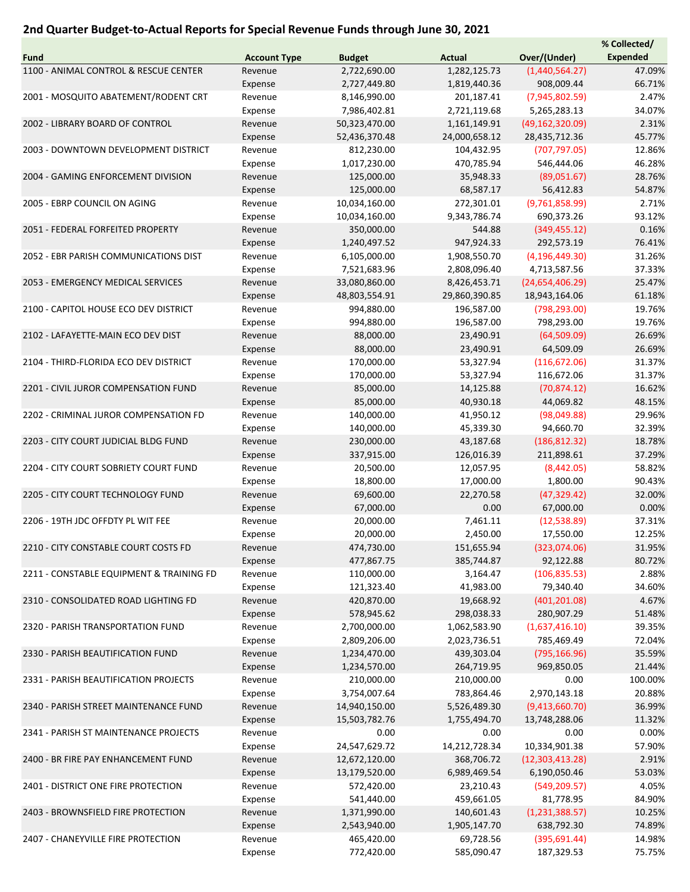## 2nd Quarter Budget-to-Actual Reports for Special Revenue Funds through June 30, 2021

|                                          |                     |               |               |                   | % Collected/    |
|------------------------------------------|---------------------|---------------|---------------|-------------------|-----------------|
| Fund                                     | <b>Account Type</b> | <b>Budget</b> | <b>Actual</b> | Over/(Under)      | <b>Expended</b> |
| 1100 - ANIMAL CONTROL & RESCUE CENTER    | Revenue             | 2,722,690.00  | 1,282,125.73  | (1,440,564.27)    | 47.09%          |
|                                          | Expense             | 2,727,449.80  | 1,819,440.36  | 908,009.44        | 66.71%          |
| 2001 - MOSQUITO ABATEMENT/RODENT CRT     | Revenue             | 8,146,990.00  | 201,187.41    | (7,945,802.59)    | 2.47%           |
|                                          | Expense             | 7,986,402.81  | 2,721,119.68  | 5,265,283.13      | 34.07%          |
| 2002 - LIBRARY BOARD OF CONTROL          | Revenue             | 50,323,470.00 | 1,161,149.91  | (49, 162, 320.09) | 2.31%           |
|                                          | Expense             | 52,436,370.48 | 24,000,658.12 | 28,435,712.36     | 45.77%          |
|                                          |                     |               |               |                   |                 |
| 2003 - DOWNTOWN DEVELOPMENT DISTRICT     | Revenue             | 812,230.00    | 104,432.95    | (707, 797.05)     | 12.86%          |
|                                          | Expense             | 1,017,230.00  | 470,785.94    | 546,444.06        | 46.28%          |
| 2004 - GAMING ENFORCEMENT DIVISION       | Revenue             | 125,000.00    | 35,948.33     | (89,051.67)       | 28.76%          |
|                                          | Expense             | 125,000.00    | 68,587.17     | 56,412.83         | 54.87%          |
| 2005 - EBRP COUNCIL ON AGING             | Revenue             | 10,034,160.00 | 272,301.01    | (9,761,858.99)    | 2.71%           |
|                                          | Expense             | 10,034,160.00 | 9,343,786.74  | 690,373.26        | 93.12%          |
| 2051 - FEDERAL FORFEITED PROPERTY        | Revenue             | 350,000.00    | 544.88        | (349, 455.12)     | 0.16%           |
|                                          | Expense             | 1,240,497.52  | 947,924.33    | 292,573.19        | 76.41%          |
| 2052 - EBR PARISH COMMUNICATIONS DIST    | Revenue             | 6,105,000.00  | 1,908,550.70  | (4, 196, 449.30)  | 31.26%          |
|                                          | Expense             | 7,521,683.96  | 2,808,096.40  | 4,713,587.56      | 37.33%          |
| 2053 - EMERGENCY MEDICAL SERVICES        | Revenue             | 33,080,860.00 | 8,426,453.71  | (24,654,406.29)   | 25.47%          |
|                                          | Expense             | 48,803,554.91 | 29,860,390.85 | 18,943,164.06     | 61.18%          |
| 2100 - CAPITOL HOUSE ECO DEV DISTRICT    | Revenue             | 994,880.00    | 196,587.00    | (798, 293.00)     | 19.76%          |
|                                          | Expense             | 994,880.00    | 196,587.00    | 798,293.00        | 19.76%          |
| 2102 - LAFAYETTE-MAIN ECO DEV DIST       | Revenue             | 88,000.00     | 23,490.91     | (64, 509.09)      | 26.69%          |
|                                          |                     | 88,000.00     |               | 64,509.09         |                 |
|                                          | Expense             |               | 23,490.91     |                   | 26.69%          |
| 2104 - THIRD-FLORIDA ECO DEV DISTRICT    | Revenue             | 170,000.00    | 53,327.94     | (116, 672.06)     | 31.37%          |
|                                          | Expense             | 170,000.00    | 53,327.94     | 116,672.06        | 31.37%          |
| 2201 - CIVIL JUROR COMPENSATION FUND     | Revenue             | 85,000.00     | 14,125.88     | (70, 874.12)      | 16.62%          |
|                                          | Expense             | 85,000.00     | 40,930.18     | 44,069.82         | 48.15%          |
| 2202 - CRIMINAL JUROR COMPENSATION FD    | Revenue             | 140,000.00    | 41,950.12     | (98,049.88)       | 29.96%          |
|                                          | Expense             | 140,000.00    | 45,339.30     | 94,660.70         | 32.39%          |
| 2203 - CITY COURT JUDICIAL BLDG FUND     | Revenue             | 230,000.00    | 43,187.68     | (186, 812.32)     | 18.78%          |
|                                          | Expense             | 337,915.00    | 126,016.39    | 211,898.61        | 37.29%          |
| 2204 - CITY COURT SOBRIETY COURT FUND    | Revenue             | 20,500.00     | 12,057.95     | (8,442.05)        | 58.82%          |
|                                          | Expense             | 18,800.00     | 17,000.00     | 1,800.00          | 90.43%          |
| 2205 - CITY COURT TECHNOLOGY FUND        | Revenue             | 69,600.00     | 22,270.58     | (47, 329.42)      | 32.00%          |
|                                          | Expense             | 67,000.00     | 0.00          | 67,000.00         | 0.00%           |
| 2206 - 19TH JDC OFFDTY PL WIT FEE        | Revenue             | 20,000.00     | 7,461.11      | (12,538.89)       | 37.31%          |
|                                          | Expense             | 20,000.00     | 2,450.00      | 17,550.00         | 12.25%          |
| 2210 - CITY CONSTABLE COURT COSTS FD     | Revenue             | 474,730.00    | 151,655.94    | (323,074.06)      | 31.95%          |
|                                          | Expense             | 477,867.75    | 385,744.87    | 92,122.88         | 80.72%          |
| 2211 - CONSTABLE EQUIPMENT & TRAINING FD | Revenue             | 110,000.00    | 3,164.47      | (106, 835.53)     | 2.88%           |
|                                          |                     |               |               | 79,340.40         | 34.60%          |
| 2310 - CONSOLIDATED ROAD LIGHTING FD     | Expense             | 121,323.40    | 41,983.00     |                   |                 |
|                                          | Revenue             | 420,870.00    | 19,668.92     | (401, 201.08)     | 4.67%           |
|                                          | Expense             | 578,945.62    | 298,038.33    | 280,907.29        | 51.48%          |
| 2320 - PARISH TRANSPORTATION FUND        | Revenue             | 2,700,000.00  | 1,062,583.90  | (1,637,416.10)    | 39.35%          |
|                                          | Expense             | 2,809,206.00  | 2,023,736.51  | 785,469.49        | 72.04%          |
| 2330 - PARISH BEAUTIFICATION FUND        | Revenue             | 1,234,470.00  | 439,303.04    | (795, 166.96)     | 35.59%          |
|                                          | Expense             | 1,234,570.00  | 264,719.95    | 969,850.05        | 21.44%          |
| 2331 - PARISH BEAUTIFICATION PROJECTS    | Revenue             | 210,000.00    | 210,000.00    | 0.00              | 100.00%         |
|                                          | Expense             | 3,754,007.64  | 783,864.46    | 2,970,143.18      | 20.88%          |
| 2340 - PARISH STREET MAINTENANCE FUND    | Revenue             | 14,940,150.00 | 5,526,489.30  | (9,413,660.70)    | 36.99%          |
|                                          | Expense             | 15,503,782.76 | 1,755,494.70  | 13,748,288.06     | 11.32%          |
| 2341 - PARISH ST MAINTENANCE PROJECTS    | Revenue             | 0.00          | 0.00          | 0.00              | 0.00%           |
|                                          | Expense             | 24,547,629.72 | 14,212,728.34 | 10,334,901.38     | 57.90%          |
| 2400 - BR FIRE PAY ENHANCEMENT FUND      | Revenue             | 12,672,120.00 | 368,706.72    | (12, 303, 413.28) | 2.91%           |
|                                          | Expense             | 13,179,520.00 | 6,989,469.54  | 6,190,050.46      | 53.03%          |
| 2401 - DISTRICT ONE FIRE PROTECTION      | Revenue             | 572,420.00    | 23,210.43     | (549, 209.57)     | 4.05%           |
|                                          | Expense             | 541,440.00    | 459,661.05    | 81,778.95         | 84.90%          |
| 2403 - BROWNSFIELD FIRE PROTECTION       | Revenue             |               |               |                   | 10.25%          |
|                                          |                     | 1,371,990.00  | 140,601.43    | (1,231,388.57)    |                 |
|                                          | Expense             | 2,543,940.00  | 1,905,147.70  | 638,792.30        | 74.89%          |
| 2407 - CHANEYVILLE FIRE PROTECTION       | Revenue             | 465,420.00    | 69,728.56     | (395, 691.44)     | 14.98%          |
|                                          | Expense             | 772,420.00    | 585,090.47    | 187,329.53        | 75.75%          |